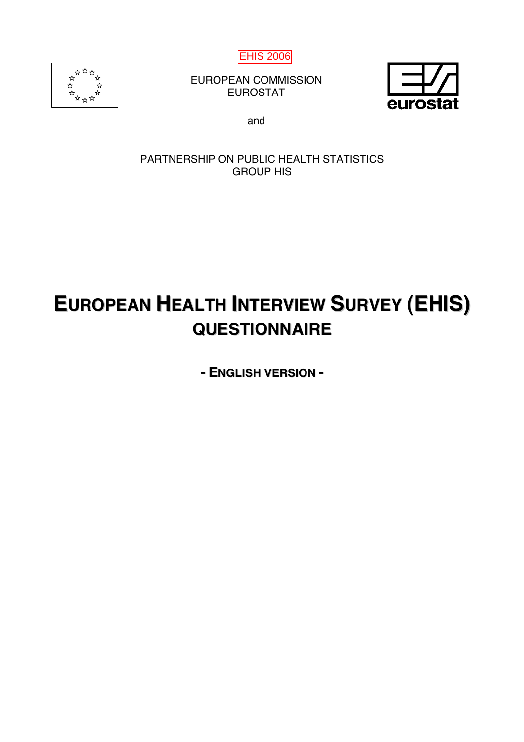

EUROPEAN COMMISSION EUROSTAT



and

# PARTNERSHIP ON PUBLIC HEALTH STATISTICS GROUP HIS

# **EUROPEAN HEALTH INTERVIEW SURVEY (EHIS) QUESTIONNAIRE**

**- ENGLISH VERSION -**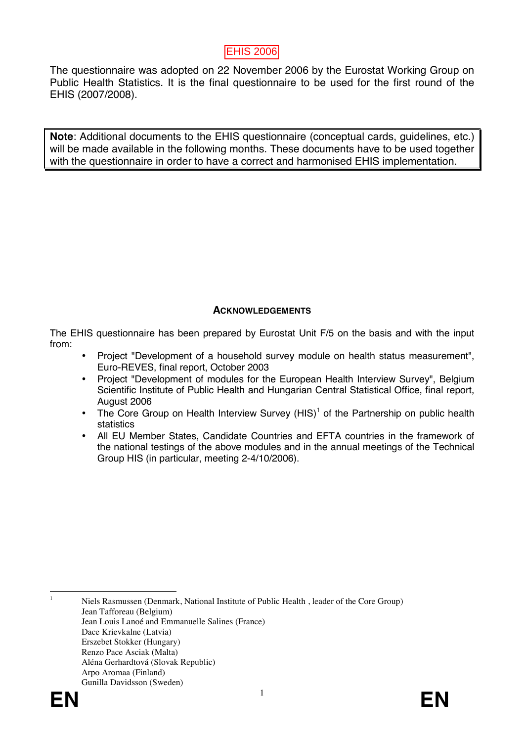The questionnaire was adopted on 22 November 2006 by the Eurostat Working Group on Public Health Statistics. It is the final questionnaire to be used for the first round of the EHIS (2007/2008).

**Note**: Additional documents to the EHIS questionnaire (conceptual cards, guidelines, etc.) will be made available in the following months. These documents have to be used together with the questionnaire in order to have a correct and harmonised EHIS implementation.

## **ACKNOWLEDGEMENTS**

The EHIS questionnaire has been prepared by Eurostat Unit F/5 on the basis and with the input from:

- Project "Development of a household survey module on health status measurement", Euro-REVES, final report, October 2003
- Project "Development of modules for the European Health Interview Survey", Belgium Scientific Institute of Public Health and Hungarian Central Statistical Office, final report, August 2006
- The Core Group on Health Interview Survey  $(HIS)^1$  of the Partnership on public health statistics
- All EU Member States, Candidate Countries and EFTA countries in the framework of the national testings of the above modules and in the annual meetings of the Technical Group HIS (in particular, meeting 2-4/10/2006).

 Niels Rasmussen (Denmark, National Institute of Public Health , leader of the Core Group) Jean Tafforeau (Belgium) Jean Louis Lanoé and Emmanuelle Salines (France) Dace Krievkalne (Latvia) Erszebet Stokker (Hungary) Renzo Pace Asciak (Malta) Aléna Gerhardtová (Slovak Republic) Arpo Aromaa (Finland) Gunilla Davidsson (Sweden)



 $\frac{1}{1}$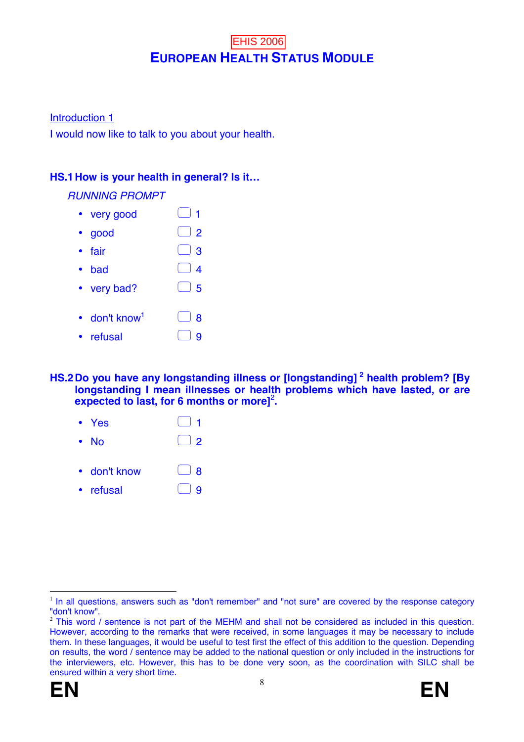# **EUROPEAN HEALTH STATUS MODULE EHIS 2006**

Introduction 1

I would now like to talk to you about your health.

# **HS.1 How is your health in general? Is it…**

### *RUNNING PROMPT*

- very good  $\bigcup$  1
- good  $\qquad \qquad \Box$  2
- fair  $\Box$  3
- bad  $\bigcap 4$
- very bad?  $\Box$  5
- $\cdot$  don't know<sup>1</sup>  $\Box$  8
- refusal  $\bigcap$  9
- **HS.2 Do you have any longstanding illness or [longstanding] 2 health problem? [By longstanding I mean illnesses or health problems which have lasted, or are**  expected to last, for 6 months or more]<sup>2</sup>.
	- Yes  $\begin{array}{ccc} \bullet & \bullet \end{array}$  Yes  $\begin{array}{ccc} \bullet & \bullet \end{array}$
	- No  $\bigcap$  2
	- don't know  $\bigcap$  8
	- refusal  $\bigcap$  9

<sup>&</sup>lt;sup>2</sup> This word / sentence is not part of the MEHM and shall not be considered as included in this question. However, according to the remarks that were received, in some languages it may be necessary to include them. In these languages, it would be useful to test first the effect of this addition to the question. Depending on results, the word / sentence may be added to the national question or only included in the instructions for the interviewers, etc. However, this has to be done very soon, as the coordination with SILC shall be ensured within a very short time.





 $\overline{a}$  $<sup>1</sup>$  In all questions, answers such as "don't remember" and "not sure" are covered by the response category</sup> "don't know".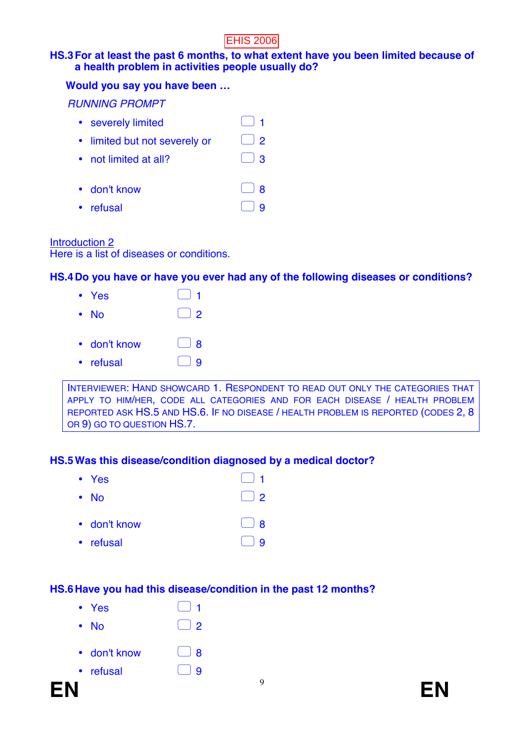#### **HS.3 For at least the past 6 months, to what extent have you been limited because of a health problem in activities people usually do?**

#### **Would you say you have been …**

*RUNNING PROMPT* 

• severely limited  $\Box$  1

• limited but not severely or  $\Box$  2

- not limited at all?  $\Box$  3
- don't know  $\Box$  8
- refusal  $\bigcirc$  9

## Introduction 2

Here is a list of diseases or conditions.

# **HS.4 Do you have or have you ever had any of the following diseases or conditions?**

| $\bullet$ Yes | $-1$                                   |
|---------------|----------------------------------------|
| • No          | $\begin{array}{c} \square \end{array}$ |
| • don't know  | $\begin{array}{c} \hline \end{array}$  |
| • refusal     | $\begin{array}{c} \square \end{array}$ |

INTERVIEWER: HAND SHOWCARD 1. RESPONDENT TO READ OUT ONLY THE CATEGORIES THAT APPLY TO HIM/HER, CODE ALL CATEGORIES AND FOR EACH DISEASE / HEALTH PROBLEM REPORTED ASK HS.5 AND HS.6. IF NO DISEASE / HEALTH PROBLEM IS REPORTED (CODES 2, 8 OR 9) GO TO QUESTION HS.7.

## **HS.5 Was this disease/condition diagnosed by a medical doctor?**

| $\cdot$ Yes  | $\begin{array}{c} \square \end{array}$   |
|--------------|------------------------------------------|
| $\cdot$ No   | $\begin{array}{c} \boxed{2} \end{array}$ |
| • don't know | $\begin{array}{c} \boxed{\phantom{0}}$   |
| • refusal    |                                          |

## **HS.6 Have you had this disease/condition in the past 12 months?**

- Yes  $\Box$  1 • No  $\Box$  2
- don't know  $\Box$  8
- refusal  $\Box$  9

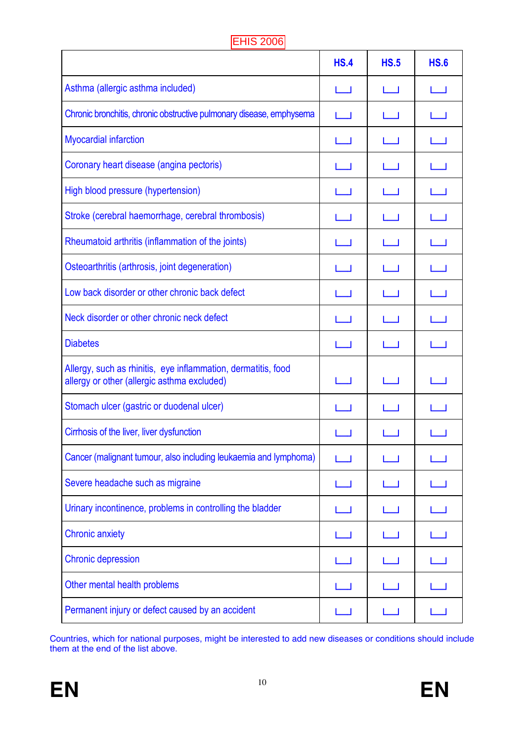|                                                                                                              | <b>HS.4</b>               | <b>HS.5</b>  | <b>HS.6</b>     |
|--------------------------------------------------------------------------------------------------------------|---------------------------|--------------|-----------------|
| Asthma (allergic asthma included)                                                                            | I I                       | I I          | $\Box$          |
| Chronic bronchitis, chronic obstructive pulmonary disease, emphysema                                         | $\mathbf{I}$              | $\mathbf{L}$ | $\Box$          |
| <b>Myocardial infarction</b>                                                                                 | $\Box$                    |              | <b>Contract</b> |
| Coronary heart disease (angina pectoris)                                                                     | $\mathbf{I}$              | ا ب          | $\Box$          |
| High blood pressure (hypertension)                                                                           | $\mathbf{L}$              | لطا          | $\Box$          |
| Stroke (cerebral haemorrhage, cerebral thrombosis)                                                           | I I                       | . .          | $\Box$          |
| Rheumatoid arthritis (inflammation of the joints)                                                            |                           | $\mathbf{I}$ | $\Box$          |
| Osteoarthritis (arthrosis, joint degeneration)                                                               |                           |              |                 |
| Low back disorder or other chronic back defect                                                               | $\mathbf{I}$              | $\mathbf{L}$ | $\Box$          |
| Neck disorder or other chronic neck defect                                                                   | I I                       | ப            | $\Box$          |
| <b>Diabetes</b>                                                                                              | I I                       | I I          | لطا             |
| Allergy, such as rhinitis, eye inflammation, dermatitis, food<br>allergy or other (allergic asthma excluded) | $\mathbf{I} = \mathbf{I}$ | I I          | $\mathbf{I}$    |
| Stomach ulcer (gastric or duodenal ulcer)                                                                    | I I                       |              | I I             |
| Cirrhosis of the liver, liver dysfunction                                                                    |                           |              |                 |
| Cancer (malignant tumour, also including leukaemia and lymphoma)                                             |                           |              |                 |
| Severe headache such as migraine                                                                             |                           |              |                 |
| Urinary incontinence, problems in controlling the bladder                                                    |                           |              |                 |
| <b>Chronic anxiety</b>                                                                                       | I I                       |              | <b>College</b>  |
| <b>Chronic depression</b>                                                                                    |                           |              |                 |
| Other mental health problems                                                                                 |                           |              |                 |
| Permanent injury or defect caused by an accident                                                             |                           |              |                 |

Countries, which for national purposes, might be interested to add new diseases or conditions should include them at the end of the list above.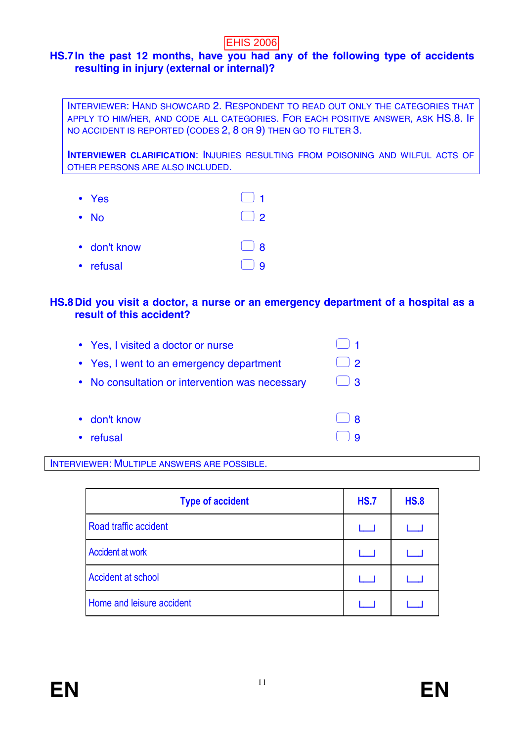# **HS.7 In the past 12 months, have you had any of the following type of accidents resulting in injury (external or internal)?**

INTERVIEWER: HAND SHOWCARD 2. RESPONDENT TO READ OUT ONLY THE CATEGORIES THAT APPLY TO HIM/HER, AND CODE ALL CATEGORIES. FOR EACH POSITIVE ANSWER, ASK HS.8. IF NO ACCIDENT IS REPORTED (CODES 2, 8 OR 9) THEN GO TO FILTER 3.

**INTERVIEWER CLARIFICATION**: INJURIES RESULTING FROM POISONING AND WILFUL ACTS OF OTHER PERSONS ARE ALSO INCLUDED.

| • Yes        | $\begin{array}{\begin{array}{\small \begin{array}{\small \end{array}}}}\end{array}$ |
|--------------|-------------------------------------------------------------------------------------|
| $\bullet$ No | $\begin{array}{c} \square \end{array}$                                              |
| • don't know | $\lceil \ \rceil$ 8                                                                 |
| • refusal    |                                                                                     |

#### **HS.8 Did you visit a doctor, a nurse or an emergency department of a hospital as a result of this accident?**

| • Yes, I visited a doctor or nurse              |               |
|-------------------------------------------------|---------------|
| • Yes, I went to an emergency department        | $\mathcal{P}$ |
| • No consultation or intervention was necessary | $\cdot$ 3     |
|                                                 |               |
| • don't know                                    |               |
| refusal                                         |               |

#### INTERVIEWER: MULTIPLE ANSWERS ARE POSSIBLE.

| <b>Type of accident</b>   | <b>HS.7</b> | <b>HS.8</b> |
|---------------------------|-------------|-------------|
| Road traffic accident     |             |             |
| <b>Accident at work</b>   | $1 - 1$     |             |
| <b>Accident at school</b> |             |             |
| Home and leisure accident |             |             |